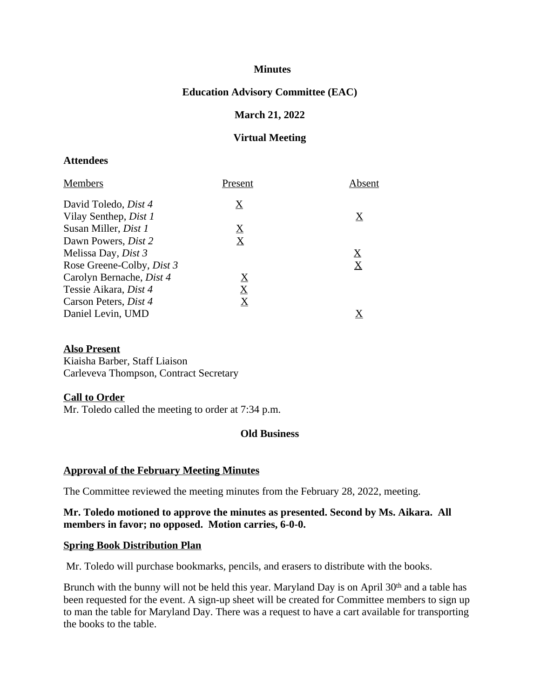### **Minutes**

## **Education Advisory Committee (EAC)**

### **March 21, 2022**

### **Virtual Meeting**

#### **Attendees**

| <b>Members</b>                   | Present                               | Absent                  |
|----------------------------------|---------------------------------------|-------------------------|
| David Toledo, <i>Dist 4</i>      | $\boldsymbol{\mathrm{X}}$             |                         |
| Vilay Senthep, <i>Dist 1</i>     |                                       | $\rm \underline{X}$     |
| Susan Miller, <i>Dist 1</i>      | $\boldsymbol{\mathrm{X}}$             |                         |
| Dawn Powers, <i>Dist</i> 2       | $\bf \underline{X}$                   |                         |
| Melissa Day, <i>Dist 3</i>       |                                       | $\overline{\mathrm{X}}$ |
| Rose Greene-Colby, <i>Dist 3</i> |                                       | $\bf \underline{X}$     |
| Carolyn Bernache, Dist 4         | $\boldsymbol{\underline{\mathrm{X}}}$ |                         |
| Tessie Aikara, Dist 4            | $\mathbf X$                           |                         |
| Carson Peters, <i>Dist 4</i>     | $\bf \underline{X}$                   |                         |
| Daniel Levin, UMD                |                                       |                         |

#### **Also Present**

Kiaisha Barber, Staff Liaison Carleveva Thompson, Contract Secretary

#### **Call to Order**

Mr. Toledo called the meeting to order at 7:34 p.m.

## **Old Business**

#### **Approval of the February Meeting Minutes**

The Committee reviewed the meeting minutes from the February 28, 2022, meeting.

### **Mr. Toledo motioned to approve the minutes as presented. Second by Ms. Aikara. All members in favor; no opposed. Motion carries, 6-0-0.**

#### **Spring Book Distribution Plan**

Mr. Toledo will purchase bookmarks, pencils, and erasers to distribute with the books.

Brunch with the bunny will not be held this year. Maryland Day is on April 30<sup>th</sup> and a table has been requested for the event. A sign-up sheet will be created for Committee members to sign up to man the table for Maryland Day. There was a request to have a cart available for transporting the books to the table.